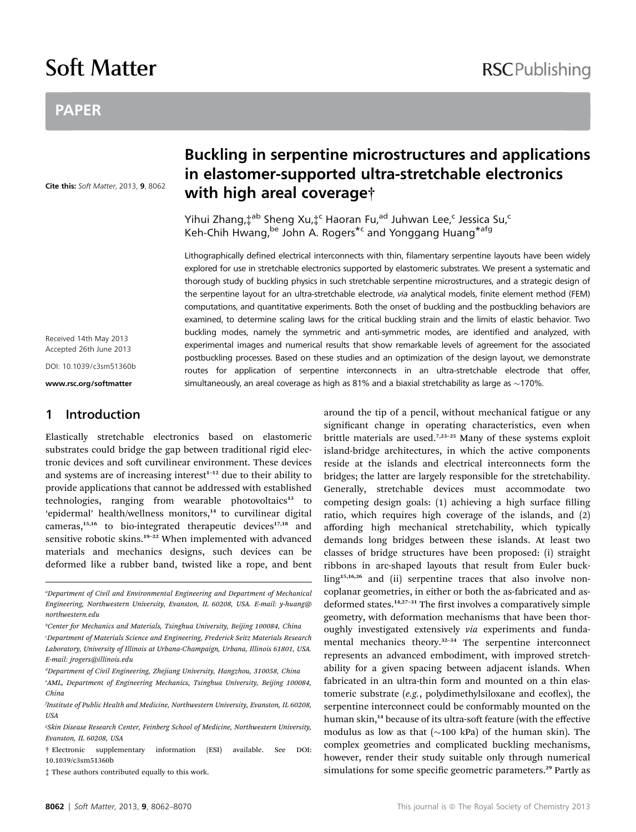# Soft Matter

## **RSCPublishing**

## PAPER

Cite this: Soft Matter, 2013, 9, 8062

## Buckling in serpentine microstructures and applications in elastomer-supported ultra-stretchable electronics with high areal coverage†

Yihui Zhang, $\ddagger^{ab}$  Sheng Xu, $\ddagger^c$  Haoran Fu,<sup>ad</sup> Juhwan Lee,<sup>c</sup> Jessica Su,<sup>c</sup> Keh-Chih Hwang, be John A. Rogers<sup>\*c</sup> and Yonggang Huang<sup>\*afg</sup>

Lithographically defined electrical interconnects with thin, filamentary serpentine layouts have been widely explored for use in stretchable electronics supported by elastomeric substrates. We present a systematic and thorough study of buckling physics in such stretchable serpentine microstructures, and a strategic design of the serpentine layout for an ultra-stretchable electrode, via analytical models, finite element method (FEM) computations, and quantitative experiments. Both the onset of buckling and the postbuckling behaviors are examined, to determine scaling laws for the critical buckling strain and the limits of elastic behavior. Two buckling modes, namely the symmetric and anti-symmetric modes, are identified and analyzed, with experimental images and numerical results that show remarkable levels of agreement for the associated postbuckling processes. Based on these studies and an optimization of the design layout, we demonstrate routes for application of serpentine interconnects in an ultra-stretchable electrode that offer, simultaneously, an areal coverage as high as 81% and a biaxial stretchability as large as  $\sim$ 170%.

Received 14th May 2013 Accepted 26th June 2013

DOI: 10.1039/c3sm51360b

www.rsc.org/softmatter

### 1 Introduction

Elastically stretchable electronics based on elastomeric substrates could bridge the gap between traditional rigid electronic devices and soft curvilinear environment. These devices and systems are of increasing interest<sup>1-12</sup> due to their ability to provide applications that cannot be addressed with established technologies, ranging from wearable photovoltaics<sup>13</sup> to 'epidermal' health/wellness monitors,<sup>14</sup> to curvilinear digital cameras, $15,16$  to bio-integrated therapeutic devices $17,18$  and sensitive robotic skins.<sup>19-22</sup> When implemented with advanced materials and mechanics designs, such devices can be deformed like a rubber band, twisted like a rope, and bent

a Department of Civil and Environmental Engineering and Department of Mechanical Engineering, Northwestern University, Evanston, IL 60208, USA. E-mail: y-huang@ northwestern.edu

- c Department of Materials Science and Engineering, Frederick Seitz Materials Research Laboratory, University of Illinois at Urbana-Champaign, Urbana, Illinois 61801, USA. E-mail: jrogers@illinois.edu
- <sup>a</sup>Department of Civil Engineering, Zhejiang University, Hangzhou, 310058, China
- e AML, Department of Engineering Mechanics, Tsinghua University, Beijing 100084, China
- f Institute of Public Health and Medicine, Northwestern University, Evanston, IL 60208, USA
- g Skin Disease Research Center, Feinberg School of Medicine, Northwestern University, Evanston, IL 60208, USA
- † Electronic supplementary information (ESI) available. See DOI: 10.1039/c3sm51360b
- ‡ These authors contributed equally to this work.

around the tip of a pencil, without mechanical fatigue or any significant change in operating characteristics, even when brittle materials are used.<sup>7,23-25</sup> Many of these systems exploit island-bridge architectures, in which the active components reside at the islands and electrical interconnects form the bridges; the latter are largely responsible for the stretchability. Generally, stretchable devices must accommodate two competing design goals: (1) achieving a high surface filling ratio, which requires high coverage of the islands, and (2) affording high mechanical stretchability, which typically demands long bridges between these islands. At least two classes of bridge structures have been proposed: (i) straight ribbons in arc-shaped layouts that result from Euler buckling<sup>15,16,26</sup> and (ii) serpentine traces that also involve noncoplanar geometries, in either or both the as-fabricated and asdeformed states. $14,27-31$  The first involves a comparatively simple geometry, with deformation mechanisms that have been thoroughly investigated extensively via experiments and fundamental mechanics theory.<sup>32-34</sup> The serpentine interconnect represents an advanced embodiment, with improved stretchability for a given spacing between adjacent islands. When fabricated in an ultra-thin form and mounted on a thin elastomeric substrate  $(e.g.,$  polydimethylsiloxane and ecoflex), the serpentine interconnect could be conformably mounted on the human skin,<sup>14</sup> because of its ultra-soft feature (with the effective modulus as low as that  $(\sim 100 \text{ kPa})$  of the human skin). The complex geometries and complicated buckling mechanisms, however, render their study suitable only through numerical simulations for some specific geometric parameters.<sup>29</sup> Partly as

b Center for Mechanics and Materials, Tsinghua University, Beijing 100084, China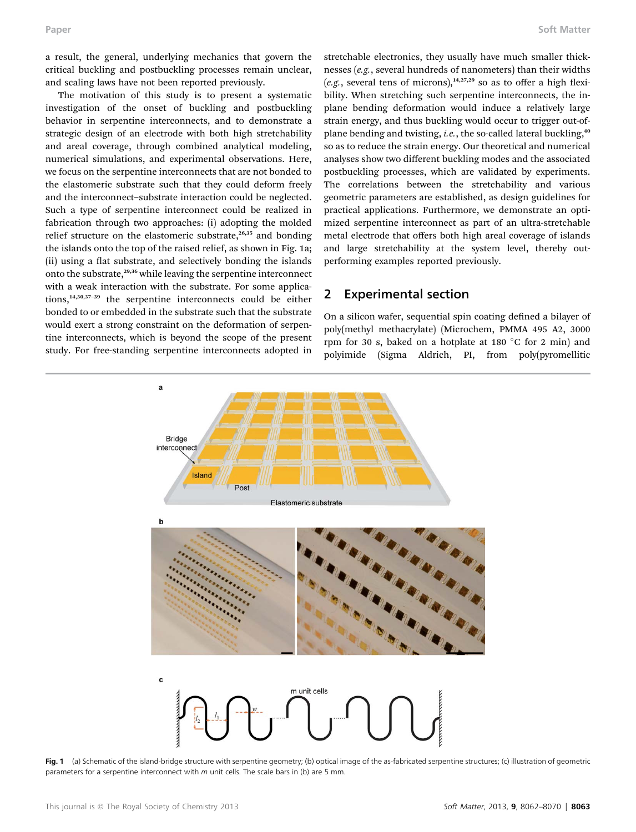a result, the general, underlying mechanics that govern the critical buckling and postbuckling processes remain unclear, and scaling laws have not been reported previously.

The motivation of this study is to present a systematic investigation of the onset of buckling and postbuckling behavior in serpentine interconnects, and to demonstrate a strategic design of an electrode with both high stretchability and areal coverage, through combined analytical modeling, numerical simulations, and experimental observations. Here, we focus on the serpentine interconnects that are not bonded to the elastomeric substrate such that they could deform freely and the interconnect–substrate interaction could be neglected. Such a type of serpentine interconnect could be realized in fabrication through two approaches: (i) adopting the molded relief structure on the elastomeric substrate,<sup>26,35</sup> and bonding the islands onto the top of the raised relief, as shown in Fig. 1a; (ii) using a flat substrate, and selectively bonding the islands onto the substrate,<sup>29,36</sup> while leaving the serpentine interconnect with a weak interaction with the substrate. For some applications,14,30,37–<sup>39</sup> the serpentine interconnects could be either bonded to or embedded in the substrate such that the substrate would exert a strong constraint on the deformation of serpentine interconnects, which is beyond the scope of the present study. For free-standing serpentine interconnects adopted in

stretchable electronics, they usually have much smaller thicknesses (e.g., several hundreds of nanometers) than their widths (e.g., several tens of microns),<sup>14,27,29</sup> so as to offer a high flexibility. When stretching such serpentine interconnects, the inplane bending deformation would induce a relatively large strain energy, and thus buckling would occur to trigger out-ofplane bending and twisting, *i.e.*, the so-called lateral buckling,<sup>40</sup> so as to reduce the strain energy. Our theoretical and numerical analyses show two different buckling modes and the associated postbuckling processes, which are validated by experiments. The correlations between the stretchability and various geometric parameters are established, as design guidelines for practical applications. Furthermore, we demonstrate an optimized serpentine interconnect as part of an ultra-stretchable metal electrode that offers both high areal coverage of islands and large stretchability at the system level, thereby outperforming examples reported previously.

## 2 Experimental section

On a silicon wafer, sequential spin coating defined a bilayer of poly(methyl methacrylate) (Microchem, PMMA 495 A2, 3000 rpm for 30 s, baked on a hotplate at 180  $^{\circ}$ C for 2 min) and polyimide (Sigma Aldrich, PI, from poly(pyromellitic



Fig. 1 (a) Schematic of the island-bridge structure with serpentine geometry; (b) optical image of the as-fabricated serpentine structures; (c) illustration of geometric parameters for a serpentine interconnect with  $m$  unit cells. The scale bars in (b) are 5 mm.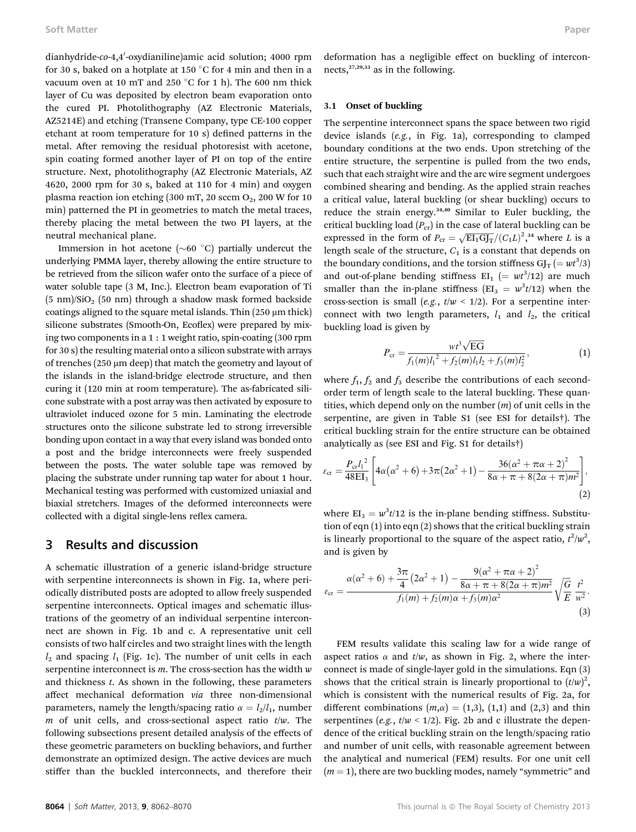dianhydride-*co*-4,4′-oxydianiline)amic acid solution; 4000 rpm for 30 s, baked on a hotplate at 150  $\degree$ C for 4 min and then in a vacuum oven at 10 mT and 250  $\degree$ C for 1 h). The 600 nm thick layer of Cu was deposited by electron beam evaporation onto the cured PI. Photolithography (AZ Electronic Materials, AZ5214E) and etching (Transene Company, type CE-100 copper etchant at room temperature for  $10 s$ ) defined patterns in the metal. After removing the residual photoresist with acetone, spin coating formed another layer of PI on top of the entire structure. Next, photolithography (AZ Electronic Materials, AZ 4620, 2000 rpm for 30 s, baked at 110 for 4 min) and oxygen plasma reaction ion etching (300 mT, 20 sccm  $O_2$ , 200 W for 10 min) patterned the PI in geometries to match the metal traces, thereby placing the metal between the two PI layers, at the neutral mechanical plane.

Immersion in hot acetone ( $\sim 60$  °C) partially undercut the underlying PMMA layer, thereby allowing the entire structure to be retrieved from the silicon wafer onto the surface of a piece of water soluble tape (3 M, Inc.). Electron beam evaporation of Ti  $(5 \text{ nm})/\text{SiO}_2$  (50 nm) through a shadow mask formed backside coatings aligned to the square metal islands. Thin  $(250 \mu m)$  thick) silicone substrates (Smooth-On, Ecoflex) were prepared by mixing two components in a 1 : 1 weight ratio, spin-coating (300 rpm for 30 s) the resulting material onto a silicon substrate with arrays of trenches (250  $\mu$ m deep) that match the geometry and layout of the islands in the island-bridge electrode structure, and then curing it (120 min at room temperature). The as-fabricated silicone substrate with a post array was then activated by exposure to ultraviolet induced ozone for 5 min. Laminating the electrode structures onto the silicone substrate led to strong irreversible bonding upon contact in a way that every island was bonded onto a post and the bridge interconnects were freely suspended between the posts. The water soluble tape was removed by placing the substrate under running tap water for about 1 hour. Mechanical testing was performed with customized uniaxial and biaxial stretchers. Images of the deformed interconnects were collected with a digital single-lens reflex camera.

### 3 Results and discussion

A schematic illustration of a generic island-bridge structure with serpentine interconnects is shown in Fig. 1a, where periodically distributed posts are adopted to allow freely suspended serpentine interconnects. Optical images and schematic illustrations of the geometry of an individual serpentine interconnect are shown in Fig. 1b and c. A representative unit cell consists of two half circles and two straight lines with the length  $l_2$  and spacing  $l_1$  (Fig. 1c). The number of unit cells in each serpentine interconnect is  $m$ . The cross-section has the width  $w$ and thickness t. As shown in the following, these parameters affect mechanical deformation via three non-dimensional parameters, namely the length/spacing ratio  $\alpha = l_2/l_1$ , number m of unit cells, and cross-sectional aspect ratio  $t/w$ . The following subsections present detailed analysis of the effects of these geometric parameters on buckling behaviors, and further demonstrate an optimized design. The active devices are much stiffer than the buckled interconnects, and therefore their deformation has a negligible effect on buckling of interconnects,<sup>27,29,33</sup> as in the following.

#### 3.1 Onset of buckling

The serpentine interconnect spans the space between two rigid device islands (e.g., in Fig. 1a), corresponding to clamped boundary conditions at the two ends. Upon stretching of the entire structure, the serpentine is pulled from the two ends, such that each straight wire and the arc wire segment undergoes combined shearing and bending. As the applied strain reaches a critical value, lateral buckling (or shear buckling) occurs to reduce the strain energy.<sup>34,40</sup> Similar to Euler buckling, the critical buckling load  $(P_{cr})$  in the case of lateral buckling can be expressed in the form of  $P_{\text{cr}} = \sqrt{\text{EI}_1\text{GI}_T}/(C_1L)^2$ ,<sup>34</sup> where L is a length scale of the structure,  $C_1$  is a constant that depends on the boundary conditions, and the torsion stiffness  $GI_T (= wt^3/3)$ and out-of-plane bending stiffness  $EI_1$  (=  $wt^3/12$ ) are much smaller than the in-plane stiffness ( $EI_3 = w^3t/12$ ) when the cross-section is small (e.g.,  $t/w < 1/2$ ). For a serpentine interconnect with two length parameters,  $l_1$  and  $l_2$ , the critical buckling load is given by

$$
P_{\rm cr} = \frac{wt^3 \sqrt{\rm EG}}{f_1(m)l_1^2 + f_2(m)l_1l_2 + f_3(m)l_2^2},\tag{1}
$$

where  $f_1$ ,  $f_2$  and  $f_3$  describe the contributions of each secondorder term of length scale to the lateral buckling. These quantities, which depend only on the number  $(m)$  of unit cells in the serpentine, are given in Table S1 (see ESI for details†). The critical buckling strain for the entire structure can be obtained analytically as (see ESI and Fig. S1 for details†)

$$
\varepsilon_{\rm cr} = \frac{P_{\rm cr} l_1^2}{48 \, \text{EI}_3} \left[ 4\alpha (\alpha^2 + 6) + 3\pi (2\alpha^2 + 1) - \frac{36(\alpha^2 + \pi \alpha + 2)^2}{8\alpha + \pi + 8(2\alpha + \pi)m^2} \right],\tag{2}
$$

where  $EI_3 = w^3t/12$  is the in-plane bending stiffness. Substitution of eqn (1) into eqn (2) shows that the critical buckling strain is linearly proportional to the square of the aspect ratio,  $t^2/w^2$ , and is given by

$$
\varepsilon_{\rm cr} = \frac{\alpha(\alpha^2 + 6) + \frac{3\pi}{4} (2\alpha^2 + 1) - \frac{9(\alpha^2 + \pi\alpha + 2)^2}{8\alpha + \pi + 8(2\alpha + \pi)m^2}}{f_1(m) + f_2(m)\alpha + f_3(m)\alpha^2} \sqrt{\frac{G}{E}} \frac{t^2}{w^2}.
$$
\n(3)

FEM results validate this scaling law for a wide range of aspect ratios  $\alpha$  and  $t/w$ , as shown in Fig. 2, where the interconnect is made of single-layer gold in the simulations. Eqn (3) shows that the critical strain is linearly proportional to  $(t/w)^2$ , which is consistent with the numerical results of Fig. 2a, for different combinations  $(m, \alpha) = (1,3), (1,1)$  and  $(2,3)$  and thin serpentines (e.g.,  $t/w < 1/2$ ). Fig. 2b and c illustrate the dependence of the critical buckling strain on the length/spacing ratio and number of unit cells, with reasonable agreement between the analytical and numerical (FEM) results. For one unit cell  $(m = 1)$ , there are two buckling modes, namely "symmetric" and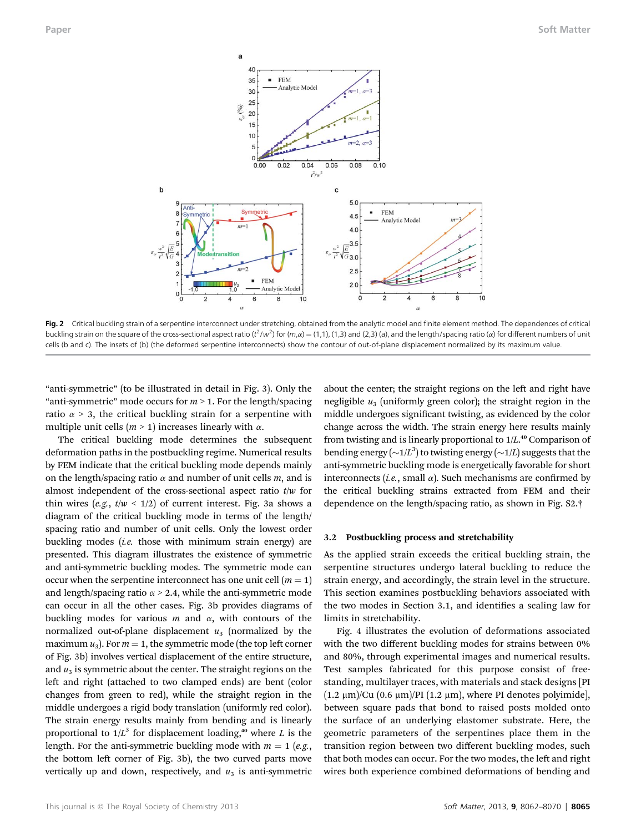

Fig. 2 Critical buckling strain of a serpentine interconnect under stretching, obtained from the analytic model and finite element method. The dependences of critical buckling strain on the square of the cross-sectional aspect ratio ( $t^2/w^2$ ) for ( $m,\alpha$ ) = (1,1), (1,3) and (2,3) (a), and the length/spacing ratio ( $\alpha$ ) for different numbers of unit cells (b and c). The insets of (b) (the deformed serpentine interconnects) show the contour of out-of-plane displacement normalized by its maximum value.

"anti-symmetric" (to be illustrated in detail in Fig. 3). Only the "anti-symmetric" mode occurs for  $m > 1$ . For the length/spacing ratio  $\alpha$  > 3, the critical buckling strain for a serpentine with multiple unit cells ( $m > 1$ ) increases linearly with  $\alpha$ .

The critical buckling mode determines the subsequent deformation paths in the postbuckling regime. Numerical results by FEM indicate that the critical buckling mode depends mainly on the length/spacing ratio  $\alpha$  and number of unit cells  $m$ , and is almost independent of the cross-sectional aspect ratio  $t/w$  for thin wires (e.g.,  $t/w < 1/2$ ) of current interest. Fig. 3a shows a diagram of the critical buckling mode in terms of the length/ spacing ratio and number of unit cells. Only the lowest order buckling modes (i.e. those with minimum strain energy) are presented. This diagram illustrates the existence of symmetric and anti-symmetric buckling modes. The symmetric mode can occur when the serpentine interconnect has one unit cell  $(m = 1)$ and length/spacing ratio  $\alpha$  > 2.4, while the anti-symmetric mode can occur in all the other cases. Fig. 3b provides diagrams of buckling modes for various  $m$  and  $\alpha$ , with contours of the normalized out-of-plane displacement  $u_3$  (normalized by the maximum  $u_3$ ). For  $m = 1$ , the symmetric mode (the top left corner of Fig. 3b) involves vertical displacement of the entire structure, and  $u_3$  is symmetric about the center. The straight regions on the left and right (attached to two clamped ends) are bent (color changes from green to red), while the straight region in the middle undergoes a rigid body translation (uniformly red color). The strain energy results mainly from bending and is linearly proportional to  $1/L^3$  for displacement loading,<sup>40</sup> where L is the length. For the anti-symmetric buckling mode with  $m = 1$  (e.g., the bottom left corner of Fig. 3b), the two curved parts move vertically up and down, respectively, and  $u_3$  is anti-symmetric

about the center; the straight regions on the left and right have negligible  $u_3$  (uniformly green color); the straight region in the middle undergoes significant twisting, as evidenced by the color change across the width. The strain energy here results mainly from twisting and is linearly proportional to 1/L. <sup>40</sup> Comparison of bending energy  $(\sim 1/L^3)$  to twisting energy  $(\sim 1/L)$  suggests that the anti-symmetric buckling mode is energetically favorable for short interconnects (i.e., small  $\alpha$ ). Such mechanisms are confirmed by the critical buckling strains extracted from FEM and their dependence on the length/spacing ratio, as shown in Fig. S2.†

#### 3.2 Postbuckling process and stretchability

As the applied strain exceeds the critical buckling strain, the serpentine structures undergo lateral buckling to reduce the strain energy, and accordingly, the strain level in the structure. This section examines postbuckling behaviors associated with the two modes in Section 3.1, and identifies a scaling law for limits in stretchability.

Fig. 4 illustrates the evolution of deformations associated with the two different buckling modes for strains between 0% and 80%, through experimental images and numerical results. Test samples fabricated for this purpose consist of freestanding, multilayer traces, with materials and stack designs [PI  $(1.2 \mu m)/Cu$   $(0.6 \mu m)/PI$   $(1.2 \mu m)$ , where PI denotes polyimide], between square pads that bond to raised posts molded onto the surface of an underlying elastomer substrate. Here, the geometric parameters of the serpentines place them in the transition region between two different buckling modes, such that both modes can occur. For the two modes, the left and right wires both experience combined deformations of bending and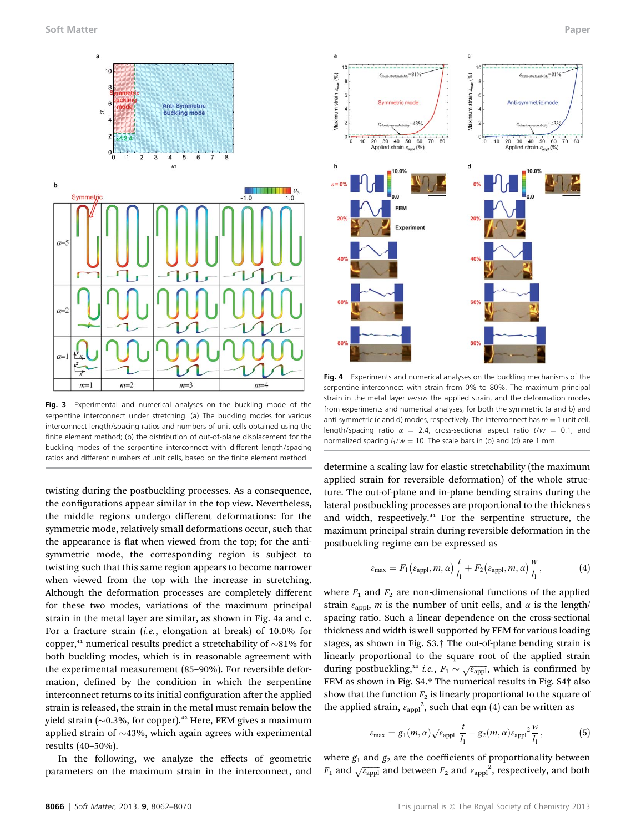

Fig. 3 Experimental and numerical analyses on the buckling mode of the serpentine interconnect under stretching. (a) The buckling modes for various interconnect length/spacing ratios and numbers of unit cells obtained using the finite element method; (b) the distribution of out-of-plane displacement for the buckling modes of the serpentine interconnect with different length/spacing ratios and different numbers of unit cells, based on the finite element method.

twisting during the postbuckling processes. As a consequence, the configurations appear similar in the top view. Nevertheless, the middle regions undergo different deformations: for the symmetric mode, relatively small deformations occur, such that the appearance is flat when viewed from the top; for the antisymmetric mode, the corresponding region is subject to twisting such that this same region appears to become narrower when viewed from the top with the increase in stretching. Although the deformation processes are completely different for these two modes, variations of the maximum principal strain in the metal layer are similar, as shown in Fig. 4a and c. For a fracture strain (i.e., elongation at break) of 10.0% for copper,<sup>41</sup> numerical results predict a stretchability of  $\sim$ 81% for both buckling modes, which is in reasonable agreement with the experimental measurement (85–90%). For reversible deformation, defined by the condition in which the serpentine interconnect returns to its initial configuration after the applied strain is released, the strain in the metal must remain below the yield strain ( $\sim$ 0.3%, for copper).<sup>42</sup> Here, FEM gives a maximum applied strain of  $\sim$ 43%, which again agrees with experimental results (40–50%).

In the following, we analyze the effects of geometric parameters on the maximum strain in the interconnect, and



Fig. 4 Experiments and numerical analyses on the buckling mechanisms of the serpentine interconnect with strain from 0% to 80%. The maximum principal strain in the metal layer versus the applied strain, and the deformation modes from experiments and numerical analyses, for both the symmetric (a and b) and anti-symmetric (c and d) modes, respectively. The interconnect has  $m = 1$  unit cell, length/spacing ratio  $\alpha = 2.4$ , cross-sectional aspect ratio t/w = 0.1, and normalized spacing  $l_1/w = 10$ . The scale bars in (b) and (d) are 1 mm.

determine a scaling law for elastic stretchability (the maximum applied strain for reversible deformation) of the whole structure. The out-of-plane and in-plane bending strains during the lateral postbuckling processes are proportional to the thickness and width, respectively.<sup>34</sup> For the serpentine structure, the maximum principal strain during reversible deformation in the postbuckling regime can be expressed as

$$
\varepsilon_{\max} = F_1\left(\varepsilon_{\text{appl}}, m, \alpha\right) \frac{t}{l_1} + F_2\left(\varepsilon_{\text{appl}}, m, \alpha\right) \frac{w}{l_1},\tag{4}
$$

where  $F_1$  and  $F_2$  are non-dimensional functions of the applied strain  $\varepsilon_{\text{appl}}$ , *m* is the number of unit cells, and  $\alpha$  is the length/ spacing ratio. Such a linear dependence on the cross-sectional thickness and width is well supported by FEM for various loading stages, as shown in Fig. S3.† The out-of-plane bending strain is linearly proportional to the square root of the applied strain during postbuckling,<sup>34</sup> *i.e.*,  $F_1 \sim \sqrt{\varepsilon_{\text{appl}}}$ , which is confirmed by FEM as shown in Fig. S4.† The numerical results in Fig. S4† also show that the function  $F_2$  is linearly proportional to the square of the applied strain,  $\varepsilon_{\rm appl}^2$ , such that eqn (4) can be written as

$$
\varepsilon_{\max} = g_1(m, \alpha) \sqrt{\varepsilon_{\text{appl}}} \frac{t}{l_1} + g_2(m, \alpha) \varepsilon_{\text{appl}}^2 \frac{w}{l_1},\tag{5}
$$

where  $g_1$  and  $g_2$  are the coefficients of proportionality between  $F_1$  and  $\sqrt{\varepsilon_{\rm appl}}$  and between  $F_2$  and  $\varepsilon_{\rm appl}^{-2}$ , respectively, and both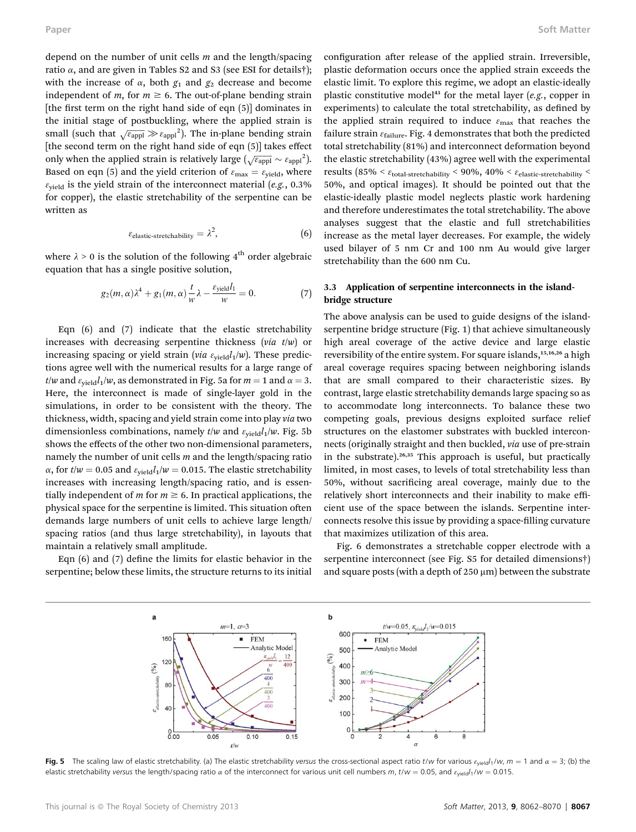depend on the number of unit cells  $m$  and the length/spacing ratio  $\alpha$ , and are given in Tables S2 and S3 (see ESI for details†); with the increase of  $\alpha$ , both  $g_1$  and  $g_2$  decrease and become independent of m, for  $m \ge 6$ . The out-of-plane bending strain [the first term on the right hand side of eqn  $(5)$ ] dominates in the initial stage of postbuckling, where the applied strain is small (such that  $\sqrt{\varepsilon_{\rm appl}} \gg \varepsilon_{\rm appl}^2$ ). The in-plane bending strain [the second term on the right hand side of eqn (5)] takes effect only when the applied strain is relatively large  $(\sqrt{\varepsilon_{\rm appl}} \sim \varepsilon_{\rm appl})^2$ . Based on eqn (5) and the yield criterion of  $\varepsilon_{\text{max}} = \varepsilon_{\text{yield}}$ , where  $\varepsilon_{\text{yield}}$  is the yield strain of the interconnect material (e.g., 0.3%) for copper), the elastic stretchability of the serpentine can be written as

$$
\varepsilon_{elastic-stretchability} = \lambda^2, \tag{6}
$$

where  $\lambda \geq 0$  is the solution of the following  $4^{\rm th}$  order algebraic equation that has a single positive solution,

$$
g_2(m,\alpha)\lambda^4 + g_1(m,\alpha)\frac{t}{w}\lambda - \frac{\varepsilon_{\text{yield}}l_1}{w} = 0. \tag{7}
$$

Eqn (6) and (7) indicate that the elastic stretchability increases with decreasing serpentine thickness (via  $t/w$ ) or increasing spacing or yield strain (via  $\varepsilon_{\text{yield}}l_1/w$ ). These predictions agree well with the numerical results for a large range of t/w and  $\varepsilon_{\text{yield}}l_1/w$ , as demonstrated in Fig. 5a for  $m = 1$  and  $\alpha = 3$ . Here, the interconnect is made of single-layer gold in the simulations, in order to be consistent with the theory. The thickness, width, spacing and yield strain come into play via two dimensionless combinations, namely  $t/w$  and  $\varepsilon_{\text{yield}}l_1/w$ . Fig. 5b shows the effects of the other two non-dimensional parameters, namely the number of unit cells  $m$  and the length/spacing ratio  $\alpha$ , for  $t/w = 0.05$  and  $\varepsilon_{\text{yield}} l_1/w = 0.015$ . The elastic stretchability increases with increasing length/spacing ratio, and is essentially independent of *m* for  $m \geq 6$ . In practical applications, the physical space for the serpentine is limited. This situation often demands large numbers of unit cells to achieve large length/ spacing ratios (and thus large stretchability), in layouts that maintain a relatively small amplitude.

Eqn  $(6)$  and  $(7)$  define the limits for elastic behavior in the serpentine; below these limits, the structure returns to its initial

configuration after release of the applied strain. Irreversible, plastic deformation occurs once the applied strain exceeds the elastic limit. To explore this regime, we adopt an elastic-ideally plastic constitutive model<sup>43</sup> for the metal layer (e.g., copper in experiments) to calculate the total stretchability, as defined by the applied strain required to induce  $\varepsilon_{\text{max}}$  that reaches the failure strain  $\varepsilon_{\text{failure}}$ . Fig. 4 demonstrates that both the predicted total stretchability (81%) and interconnect deformation beyond the elastic stretchability (43%) agree well with the experimental results (85% <  $\varepsilon$ <sub>total-stretchability</sub> < 90%, 40% <  $\varepsilon$ <sub>elastic-stretchability</sub> < 50%, and optical images). It should be pointed out that the elastic-ideally plastic model neglects plastic work hardening and therefore underestimates the total stretchability. The above analyses suggest that the elastic and full stretchabilities increase as the metal layer decreases. For example, the widely used bilayer of 5 nm Cr and 100 nm Au would give larger stretchability than the 600 nm Cu.

#### 3.3 Application of serpentine interconnects in the islandbridge structure

The above analysis can be used to guide designs of the islandserpentine bridge structure (Fig. 1) that achieve simultaneously high areal coverage of the active device and large elastic reversibility of the entire system. For square islands,<sup>15,16,26</sup> a high areal coverage requires spacing between neighboring islands that are small compared to their characteristic sizes. By contrast, large elastic stretchability demands large spacing so as to accommodate long interconnects. To balance these two competing goals, previous designs exploited surface relief structures on the elastomer substrates with buckled interconnects (originally straight and then buckled, via use of pre-strain in the substrate).<sup>26,35</sup> This approach is useful, but practically limited, in most cases, to levels of total stretchability less than 50%, without sacrificing areal coverage, mainly due to the relatively short interconnects and their inability to make efficient use of the space between the islands. Serpentine interconnects resolve this issue by providing a space-filling curvature that maximizes utilization of this area.

Fig. 6 demonstrates a stretchable copper electrode with a serpentine interconnect (see Fig. S5 for detailed dimensions†) and square posts (with a depth of  $250 \mu m$ ) between the substrate



Fig. 5 The scaling law of elastic stretchability. (a) The elastic stretchability versus the cross-sectional aspect ratio t/w for various  $\varepsilon_{\text{yield}}/w$ ,  $m = 1$  and  $\alpha = 3$ ; (b) the elastic stretchability versus the length/spacing ratio  $\alpha$  of the interconnect for various unit cell numbers m, t/w = 0.05, and  $\varepsilon_{\text{yield}}/1/w$  = 0.015.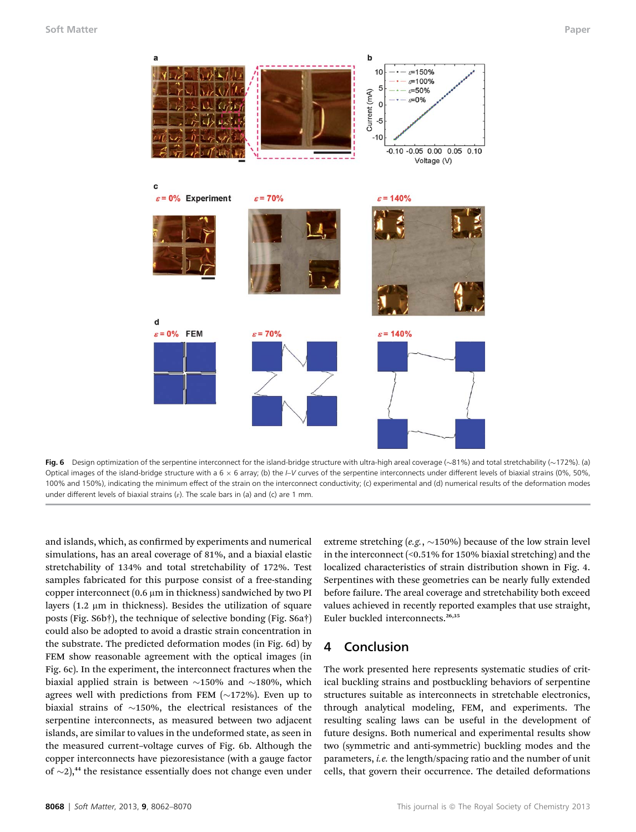

Fig. 6 Design optimization of the serpentine interconnect for the island-bridge structure with ultra-high areal coverage (~81%) and total stretchability (~172%). (a) Optical images of the island-bridge structure with a  $6 \times 6$  array; (b) the I–V curves of the serpentine interconnects under different levels of biaxial strains (0%, 50%, 100% and 150%), indicating the minimum effect of the strain on the interconnect conductivity; (c) experimental and (d) numerical results of the deformation modes under different levels of biaxial strains ( $\varepsilon$ ). The scale bars in (a) and (c) are 1 mm.

and islands, which, as confirmed by experiments and numerical simulations, has an areal coverage of 81%, and a biaxial elastic stretchability of 134% and total stretchability of 172%. Test samples fabricated for this purpose consist of a free-standing copper interconnect  $(0.6 \mu m)$  in thickness) sandwiched by two PI layers  $(1.2 \mu m)$  in thickness). Besides the utilization of square posts (Fig. S6b†), the technique of selective bonding (Fig. S6a†) could also be adopted to avoid a drastic strain concentration in the substrate. The predicted deformation modes (in Fig. 6d) by FEM show reasonable agreement with the optical images (in Fig. 6c). In the experiment, the interconnect fractures when the biaxial applied strain is between  $\sim$ 150% and  $\sim$ 180%, which agrees well with predictions from FEM  $(\sim 172\%)$ . Even up to biaxial strains of  $\sim$ 150%, the electrical resistances of the serpentine interconnects, as measured between two adjacent islands, are similar to values in the undeformed state, as seen in the measured current–voltage curves of Fig. 6b. Although the copper interconnects have piezoresistance (with a gauge factor of  $\sim$ 2),<sup>44</sup> the resistance essentially does not change even under

extreme stretching (e.g.,  $\sim$ 150%) because of the low strain level in the interconnect (<0.51% for 150% biaxial stretching) and the localized characteristics of strain distribution shown in Fig. 4. Serpentines with these geometries can be nearly fully extended before failure. The areal coverage and stretchability both exceed values achieved in recently reported examples that use straight, Euler buckled interconnects.<sup>26,35</sup>

### 4 Conclusion

The work presented here represents systematic studies of critical buckling strains and postbuckling behaviors of serpentine structures suitable as interconnects in stretchable electronics, through analytical modeling, FEM, and experiments. The resulting scaling laws can be useful in the development of future designs. Both numerical and experimental results show two (symmetric and anti-symmetric) buckling modes and the parameters, i.e. the length/spacing ratio and the number of unit cells, that govern their occurrence. The detailed deformations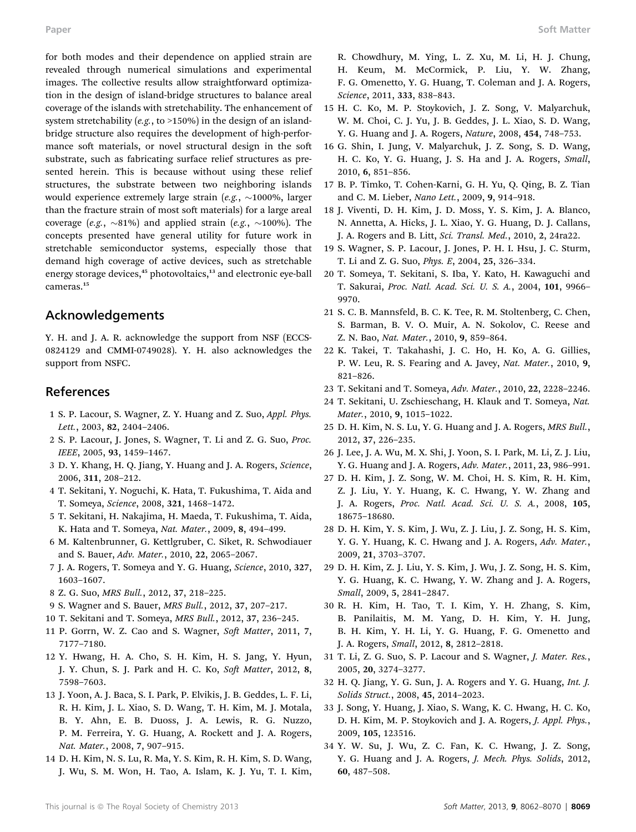for both modes and their dependence on applied strain are revealed through numerical simulations and experimental images. The collective results allow straightforward optimization in the design of island-bridge structures to balance areal coverage of the islands with stretchability. The enhancement of system stretchability  $(e.g., to >150%)$  in the design of an islandbridge structure also requires the development of high-performance soft materials, or novel structural design in the soft substrate, such as fabricating surface relief structures as presented herein. This is because without using these relief structures, the substrate between two neighboring islands would experience extremely large strain (e.g.,  $\sim$ 1000%, larger than the fracture strain of most soft materials) for a large areal coverage (e.g.,  $\sim$ 81%) and applied strain (e.g.,  $\sim$ 100%). The concepts presented have general utility for future work in stretchable semiconductor systems, especially those that demand high coverage of active devices, such as stretchable energy storage devices,<sup>45</sup> photovoltaics,<sup>13</sup> and electronic eye-ball cameras.<sup>15</sup>

## Acknowledgements

Y. H. and J. A. R. acknowledge the support from NSF (ECCS-0824129 and CMMI-0749028). Y. H. also acknowledges the support from NSFC.

## References

- 1 S. P. Lacour, S. Wagner, Z. Y. Huang and Z. Suo, Appl. Phys. Lett., 2003, 82, 2404–2406.
- 2 S. P. Lacour, J. Jones, S. Wagner, T. Li and Z. G. Suo, Proc. IEEE, 2005, 93, 1459–1467.
- 3 D. Y. Khang, H. Q. Jiang, Y. Huang and J. A. Rogers, Science, 2006, 311, 208–212.
- 4 T. Sekitani, Y. Noguchi, K. Hata, T. Fukushima, T. Aida and T. Someya, Science, 2008, 321, 1468–1472.
- 5 T. Sekitani, H. Nakajima, H. Maeda, T. Fukushima, T. Aida, K. Hata and T. Someya, Nat. Mater., 2009, 8, 494–499.
- 6 M. Kaltenbrunner, G. Kettlgruber, C. Siket, R. Schwodiauer and S. Bauer, Adv. Mater., 2010, 22, 2065–2067.
- 7 J. A. Rogers, T. Someya and Y. G. Huang, Science, 2010, 327, 1603–1607.
- 8 Z. G. Suo, MRS Bull., 2012, 37, 218–225.
- 9 S. Wagner and S. Bauer, MRS Bull., 2012, 37, 207–217.
- 10 T. Sekitani and T. Someya, MRS Bull., 2012, 37, 236–245.
- 11 P. Gorrn, W. Z. Cao and S. Wagner, Soft Matter, 2011, 7, 7177–7180.
- 12 Y. Hwang, H. A. Cho, S. H. Kim, H. S. Jang, Y. Hyun, J. Y. Chun, S. J. Park and H. C. Ko, Soft Matter, 2012, 8, 7598–7603.
- 13 J. Yoon, A. J. Baca, S. I. Park, P. Elvikis, J. B. Geddes, L. F. Li, R. H. Kim, J. L. Xiao, S. D. Wang, T. H. Kim, M. J. Motala, B. Y. Ahn, E. B. Duoss, J. A. Lewis, R. G. Nuzzo, P. M. Ferreira, Y. G. Huang, A. Rockett and J. A. Rogers, Nat. Mater., 2008, 7, 907–915.
- 14 D. H. Kim, N. S. Lu, R. Ma, Y. S. Kim, R. H. Kim, S. D. Wang, J. Wu, S. M. Won, H. Tao, A. Islam, K. J. Yu, T. I. Kim,

R. Chowdhury, M. Ying, L. Z. Xu, M. Li, H. J. Chung, H. Keum, M. McCormick, P. Liu, Y. W. Zhang, F. G. Omenetto, Y. G. Huang, T. Coleman and J. A. Rogers, Science, 2011, 333, 838–843.

- 15 H. C. Ko, M. P. Stoykovich, J. Z. Song, V. Malyarchuk, W. M. Choi, C. J. Yu, J. B. Geddes, J. L. Xiao, S. D. Wang, Y. G. Huang and J. A. Rogers, Nature, 2008, 454, 748–753.
- 16 G. Shin, I. Jung, V. Malyarchuk, J. Z. Song, S. D. Wang, H. C. Ko, Y. G. Huang, J. S. Ha and J. A. Rogers, Small, 2010, 6, 851–856.
- 17 B. P. Timko, T. Cohen-Karni, G. H. Yu, Q. Qing, B. Z. Tian and C. M. Lieber, Nano Lett., 2009, 9, 914–918.
- 18 J. Viventi, D. H. Kim, J. D. Moss, Y. S. Kim, J. A. Blanco, N. Annetta, A. Hicks, J. L. Xiao, Y. G. Huang, D. J. Callans, J. A. Rogers and B. Litt, Sci. Transl. Med., 2010, 2, 24ra22.
- 19 S. Wagner, S. P. Lacour, J. Jones, P. H. I. Hsu, J. C. Sturm, T. Li and Z. G. Suo, Phys. E, 2004, 25, 326–334.
- 20 T. Someya, T. Sekitani, S. Iba, Y. Kato, H. Kawaguchi and T. Sakurai, Proc. Natl. Acad. Sci. U. S. A., 2004, 101, 9966– 9970.
- 21 S. C. B. Mannsfeld, B. C. K. Tee, R. M. Stoltenberg, C. Chen, S. Barman, B. V. O. Muir, A. N. Sokolov, C. Reese and Z. N. Bao, Nat. Mater., 2010, 9, 859–864.
- 22 K. Takei, T. Takahashi, J. C. Ho, H. Ko, A. G. Gillies, P. W. Leu, R. S. Fearing and A. Javey, Nat. Mater., 2010, 9, 821–826.
- 23 T. Sekitani and T. Someya, Adv. Mater., 2010, 22, 2228–2246.
- 24 T. Sekitani, U. Zschieschang, H. Klauk and T. Someya, Nat. Mater., 2010, 9, 1015–1022.
- 25 D. H. Kim, N. S. Lu, Y. G. Huang and J. A. Rogers, MRS Bull., 2012, 37, 226–235.
- 26 J. Lee, J. A. Wu, M. X. Shi, J. Yoon, S. I. Park, M. Li, Z. J. Liu, Y. G. Huang and J. A. Rogers, Adv. Mater., 2011, 23, 986–991.
- 27 D. H. Kim, J. Z. Song, W. M. Choi, H. S. Kim, R. H. Kim, Z. J. Liu, Y. Y. Huang, K. C. Hwang, Y. W. Zhang and J. A. Rogers, Proc. Natl. Acad. Sci. U. S. A., 2008, 105, 18675–18680.
- 28 D. H. Kim, Y. S. Kim, J. Wu, Z. J. Liu, J. Z. Song, H. S. Kim, Y. G. Y. Huang, K. C. Hwang and J. A. Rogers, Adv. Mater., 2009, 21, 3703–3707.
- 29 D. H. Kim, Z. J. Liu, Y. S. Kim, J. Wu, J. Z. Song, H. S. Kim, Y. G. Huang, K. C. Hwang, Y. W. Zhang and J. A. Rogers, Small, 2009, 5, 2841–2847.
- 30 R. H. Kim, H. Tao, T. I. Kim, Y. H. Zhang, S. Kim, B. Panilaitis, M. M. Yang, D. H. Kim, Y. H. Jung, B. H. Kim, Y. H. Li, Y. G. Huang, F. G. Omenetto and J. A. Rogers, Small, 2012, 8, 2812–2818.
- 31 T. Li, Z. G. Suo, S. P. Lacour and S. Wagner, J. Mater. Res., 2005, 20, 3274–3277.
- 32 H. Q. Jiang, Y. G. Sun, J. A. Rogers and Y. G. Huang, Int. J. Solids Struct., 2008, 45, 2014–2023.
- 33 J. Song, Y. Huang, J. Xiao, S. Wang, K. C. Hwang, H. C. Ko, D. H. Kim, M. P. Stoykovich and J. A. Rogers, J. Appl. Phys., 2009, 105, 123516.
- 34 Y. W. Su, J. Wu, Z. C. Fan, K. C. Hwang, J. Z. Song, Y. G. Huang and J. A. Rogers, J. Mech. Phys. Solids, 2012, 60, 487–508.